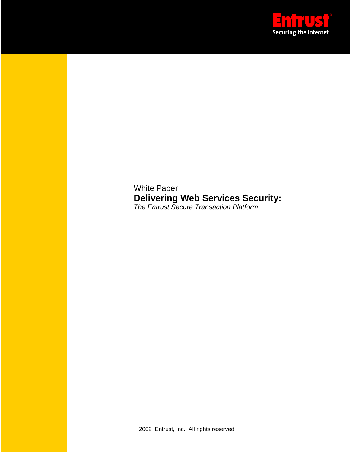

White Paper **Delivering Web Services Security:** *The Entrust Secure Transaction Platform*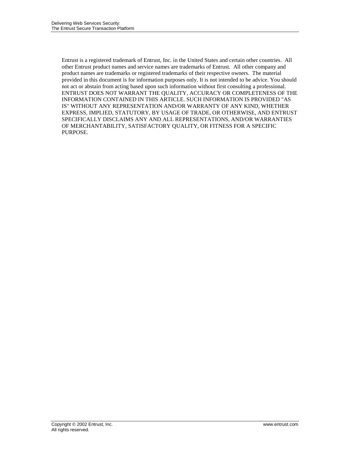Entrust is a registered trademark of Entrust, Inc. in the United States and certain other countries. All other Entrust product names and service names are trademarks of Entrust. All other company and product names are trademarks or registered trademarks of their respective owners. The material provided in this document is for information purposes only. It is not intended to be advice. You should not act or abstain from acting based upon such information without first consulting a professional. ENTRUST DOES NOT WARRANT THE QUALITY, ACCURACY OR COMPLETENESS OF THE INFORMATION CONTAINED IN THIS ARTICLE. SUCH INFORMATION IS PROVIDED "AS IS" WITHOUT ANY REPRESENTATION AND/OR WARRANTY OF ANY KIND, WHETHER EXPRESS, IMPLIED, STATUTORY, BY USAGE OF TRADE, OR OTHERWISE, AND ENTRUST SPECIFICALLY DISCLAIMS ANY AND ALL REPRESENTATIONS, AND/OR WARRANTIES OF MERCHANTABILITY, SATISFACTORY QUALITY, OR FITNESS FOR A SPECIFIC PURPOSE.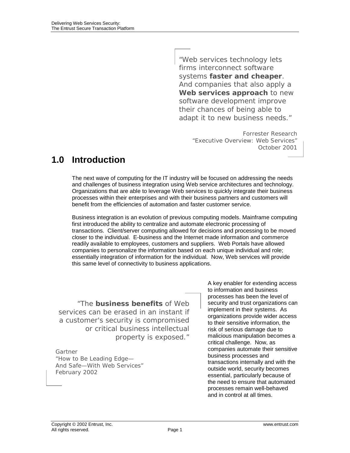"Web services technology lets firms interconnect software systems **faster and cheaper**. And companies that also apply a **Web services approach** to new software development improve their chances of being able to adapt it to new business needs."

> Forrester Research "Executive Overview: Web Services" October 2001

## **1.0 Introduction**

The next wave of computing for the IT industry will be focused on addressing the needs and challenges of business integration using Web service architectures and technology. Organizations that are able to leverage Web services to quickly integrate their business processes within their enterprises and with their business partners and customers will benefit from the efficiencies of automation and faster customer service.

Business integration is an evolution of previous computing models. Mainframe computing first introduced the ability to centralize and automate electronic processing of transactions. Client/server computing allowed for decisions and processing to be moved closer to the individual. E-business and the Internet made information and commerce readily available to employees, customers and suppliers. Web Portals have allowed companies to personalize the information based on each unique individual and role; essentially integration of information for the individual. Now, Web services will provide this same level of connectivity to business applications.

"The **business benefits** of Web services can be erased in an instant if a customer's security is compromised or critical business intellectual property is exposed."

Gartner "How to Be Leading Edge— And Safe—With Web Services" February 2002

A key enabler for extending access to information and business processes has been the level of security and trust organizations can implement in their systems. As organizations provide wider access to their sensitive information, the risk of serious damage due to malicious manipulation becomes a critical challenge. Now, as companies automate their sensitive business processes and transactions internally and with the outside world, security becomes essential, particularly because of the need to ensure that automated processes remain well-behaved and in control at all times.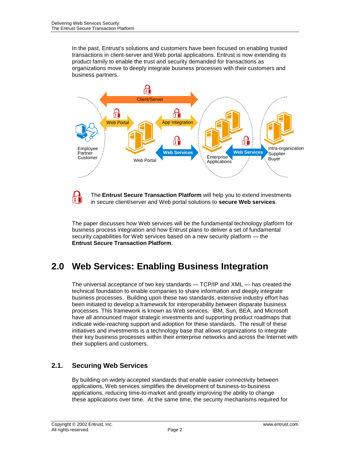In the past, Entrust's solutions and customers have been focused on enabling trusted transactions in client-server and Web portal applications. Entrust is now extending its product family to enable the trust and security demanded for transactions as organizations move to deeply integrate business processes with their customers and business partners.



The **Entrust Secure Transaction Platform** will help you to extend investments ΠN in secure client/server and Web portal solutions to **secure Web services**.

The paper discusses how Web services will be the fundamental technology platform for business process integration and how Entrust plans to deliver a set of fundamental security capabilities for Web services based on a new security platform — the **Entrust Secure Transaction Platform**.

# **2.0 Web Services: Enabling Business Integration**

The universal acceptance of two key standards — TCP/IP and XML — has created the technical foundation to enable companies to share information and deeply integrate business processes. Building upon these two standards, extensive industry effort has been initiated to develop a framework for interoperability between disparate business processes. This framework is known as Web services. IBM, Sun, BEA, and Microsoft have all announced major strategic investments and supporting product roadmaps that indicate wide-reaching support and adoption for these standards. The result of these initiatives and investments is a technology base that allows organizations to integrate their key business processes within their enterprise networks and across the Internet with their suppliers and customers.

### **2.1. Securing Web Services**

By building on widely accepted standards that enable easier connectivity between applications, Web services simplifies the development of business-to-business applications, reducing time-to-market and greatly improving the ability to change these applications over time. At the same time, the security mechanisms required for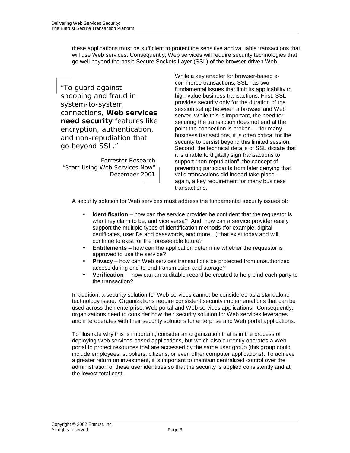these applications must be sufficient to protect the sensitive and valuable transactions that will use Web services. Consequently, Web services will require security technologies that go well beyond the basic Secure Sockets Layer (SSL) of the browser-driven Web.

"To guard against snooping and fraud in system-to-system connections, **Web services need security** features like encryption, authentication, and non-repudiation that go beyond SSL."

Forrester Research "Start Using Web Services Now" December 2001 While a key enabler for browser-based ecommerce transactions, SSL has two fundamental issues that limit its applicability to high-value business transactions. First, SSL provides security only for the duration of the session set up between a browser and Web server. While this is important, the need for securing the transaction does not end at the point the connection is broken — for many business transactions, it is often critical for the security to persist beyond this limited session. Second, the technical details of SSL dictate that it is unable to digitally sign transactions to support "non-repudiation", the concept of preventing participants from later denying that valid transactions did indeed take place again, a key requirement for many business transactions.

A security solution for Web services must address the fundamental security issues of:

- **Identification** how can the service provider be confident that the requestor is who they claim to be, and vice versa? And, how can a service provider easily support the multiple types of identification methods (for example, digital certificates, userIDs and passwords, and more…) that exist today and will continue to exist for the foreseeable future?
- **Entitlements** how can the application determine whether the requestor is approved to use the service?
- **Privacy** how can Web services transactions be protected from unauthorized access during end-to-end transmission and storage?
- **Verification** how can an auditable record be created to help bind each party to the transaction?

In addition, a security solution for Web services cannot be considered as a standalone technology issue. Organizations require consistent security implementations that can be used across their enterprise, Web portal and Web services applications. Consequently, organizations need to consider how their security solution for Web services leverages and interoperates with their security solutions for enterprise and Web portal applications.

To illustrate why this is important, consider an organization that is in the process of deploying Web services-based applications, but which also currently operates a Web portal to protect resources that are accessed by the same user group (this group could include employees, suppliers, citizens, or even other computer applications). To achieve a greater return on investment, it is important to maintain centralized control over the administration of these user identities so that the security is applied consistently and at the lowest total cost.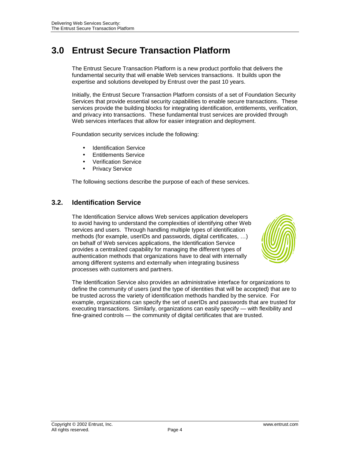# **3.0 Entrust Secure Transaction Platform**

The Entrust Secure Transaction Platform is a new product portfolio that delivers the fundamental security that will enable Web services transactions. It builds upon the expertise and solutions developed by Entrust over the past 10 years.

Initially, the Entrust Secure Transaction Platform consists of a set of Foundation Security Services that provide essential security capabilities to enable secure transactions. These services provide the building blocks for integrating identification, entitlements, verification, and privacy into transactions. These fundamental trust services are provided through Web services interfaces that allow for easier integration and deployment.

Foundation security services include the following:

- **Identification Service**
- Entitlements Service
- Verification Service
- Privacy Service

The following sections describe the purpose of each of these services.

#### **3.2. Identification Service**

The Identification Service allows Web services application developers to avoid having to understand the complexities of identifying other Web services and users. Through handling multiple types of identification methods (for example, userIDs and passwords, digital certificates, …) on behalf of Web services applications, the Identification Service provides a centralized capability for managing the different types of authentication methods that organizations have to deal with internally among different systems and externally when integrating business processes with customers and partners.



The Identification Service also provides an administrative interface for organizations to define the community of users (and the type of identities that will be accepted) that are to be trusted across the variety of identification methods handled by the service. For example, organizations can specify the set of userIDs and passwords that are trusted for executing transactions. Similarly, organizations can easily specify — with flexibility and fine-grained controls — the community of digital certificates that are trusted.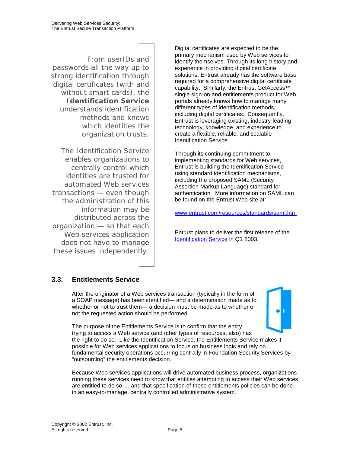From userIDs and passwords all the way up to strong identification through digital certificates (with and without smart cards), the **Identification Service**  understands identification methods and knows which identities the organization trusts.

The Identification Service enables organizations to centrally control which identities are trusted for automated Web services transactions — even though the administration of this information may be distributed across the organization — so that each Web services application does not have to manage these issues independently.

Digital certificates are expected to be the primary mechanism used by Web services to identify themselves. Through its long history and experience in providing digital certificate solutions, Entrust already has the software base required for a comprehensive digital certificate capability. Similarly, the Entrust GetAccess™ single sign-on and entitlements product for Web portals already knows how to manage many different types of identification methods, including digital certificates. Consequently, Entrust is leveraging existing, industry-leading technology, knowledge, and experience to create a flexible, reliable, and scalable Identification Service.

Through its continuing commitment to implementing standards for Web services, Entrust is building the Identification Service using standard identification mechanisms, including the proposed SAML (Security Assertion Markup Language) standard for authentication. More information on SAML can be found on the Entrust Web site at:

www.en[trust.com/resources/standards/saml.htm](http://www.entrust.com/resources/standards/saml.htm) 

Entrust plans to deliver the first release of the Identific[ation Service in Q1 20](http://www.entrust.com/stp/identification.htm)03.

### **3.3. Entitlements Service**

After the originator of a Web services transaction (typically in the form of a SOAP message) has been identified— and a determination made as to whether or not to trust them— a decision must be made as to whether or not the requested action should be performed.



The purpose of the Entitlements Service is to confirm that the entity trying to access a Web service (and other types of resources, also) has the right to do so. Like the Identification Service, the Entitlements Service makes it possible for Web services applications to focus on business logic and rely on fundamental security operations occurring centrally in Foundation Security Services by "outsourcing" the entitlements decision.

Because Web services applications will drive automated business process, organizations running these services need to know that entities attempting to access their Web services are entitled to do so … and that specification of these entitlements policies can be done in an easy-to-manage, centrally controlled administrative system.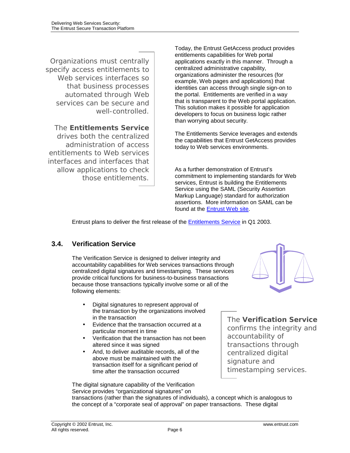Organizations must centrally specify access entitlements to Web services interfaces so that business processes automated through Web services can be secure and well-controlled.

The **Entitlements Service** drives both the centralized administration of access entitlements to Web services interfaces and interfaces that allow applications to check those entitlements.

Today, the Entrust GetAccess product provides entitlements capabilities for Web portal applications exactly in this manner. Through a centralized administrative capability, organizations administer the resources (for example, Web pages and applications) that identities can access through single sign-on to the portal. Entitlements are verified in a way that is transparent to the Web portal application. This solution makes it possible for application developers to focus on business logic rather than worrying about security.

The Entitlements Service leverages and extends the capabilities that Entrust GetAccess provides today to Web services environments.

As a further demonstration of Entrust's commitment to implementing standards for Web services, Entrust is building the Entitlements Service using the SAML (Security Assertion Markup Language) standard for authorization assertions. More information on SAML can be found at the Entrust [Web site.](http://www.entrust.com/resources/standards/saml.htm) 

Entrust plans to deliver the first release of the [Entitlements Service](http://www.entrust.com/stp/entitlements.htm) in Q1 2003.

### **3.4. Verification Service**

The Verification Service is designed to deliver integrity and accountability capabilities for Web services transactions through centralized digital signatures and timestamping. These services provide critical functions for business-to-business transactions because those transactions typically involve some or all of the following elements:

- Digital signatures to represent approval of the transaction by the organizations involved in the transaction
- Evidence that the transaction occurred at a particular moment in time
- Verification that the transaction has not been altered since it was signed
- And, to deliver auditable records, all of the above must be maintained with the transaction itself for a significant period of time after the transaction occurred

The **Verification Service**  confirms the integrity and accountability of transactions through centralized digital signature and timestamping services.

The digital signature capability of the Verification Service provides "organizational signatures" on transactions (rather than the signatures of individuals), a concept which is analogous to the concept of a "corporate seal of approval" on paper transactions. These digital

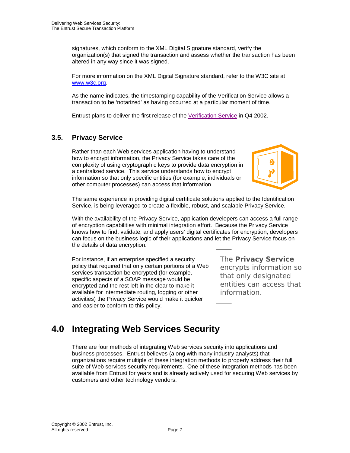signatures, which conform to the XML Digital Signature standard, verify the organization(s) that signed the transaction and assess whether the transaction has been altered in any way since it was signed.

For more information on the XML Digital Signature standard, refer to the W3C site at [www.w3c.org.](http://www.w3c.org/)

As the name indicates, the timestamping capability of the Verification Service allows a transaction to be 'notarized' as having occurred at a particular moment of time.

Entrust plans to deliver the first release of the [Verification Service](http://www.entrust.com/stp/verification.htm) in Q4 2002.

### **3.5. Privacy Service**

Rather than each Web services application having to understand how to encrypt information, the Privacy Service takes care of the complexity of using cryptographic keys to provide data encryption in a centralized service. This service understands how to encrypt information so that only specific entities (for example, individuals or other computer processes) can access that information.



The same experience in providing digital certificate solutions applied to the Identification Service, is being leveraged to create a flexible, robust, and scalable Privacy Service.

With the availability of the Privacy Service, application developers can access a full range of encryption capabilities with minimal integration effort. Because the Privacy Service knows how to find, validate, and apply users' digital certificates for encryption, developers can focus on the business logic of their applications and let the Privacy Service focus on the details of data encryption.

For instance, if an enterprise specified a security policy that required that only certain portions of a Web services transaction be encrypted (for example, specific aspects of a SOAP message would be encrypted and the rest left in the clear to make it available for intermediate routing, logging or other activities) the Privacy Service would make it quicker and easier to conform to this policy.

The **Privacy Service** encrypts information so that only designated entities can access that information.

# **4.0 Integrating Web Services Security**

There are four methods of integrating Web services security into applications and business processes. Entrust believes (along with many industry analysts) that organizations require multiple of these integration methods to properly address their full suite of Web services security requirements. One of these integration methods has been available from Entrust for years and is already actively used for securing Web services by customers and other technology vendors.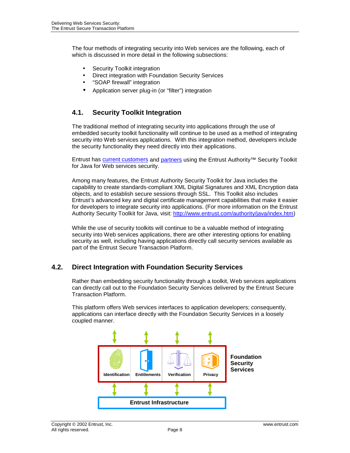The four methods of integrating security into Web services are the following, each of which is discussed in more detail in the following subsections:

- Security Toolkit integration
- Direct integration with Foundation Security Services
- "SOAP firewall" integration
- Application server plug-in (or "filter") integration

#### **4.1. Security Toolkit Integration**

The traditional method of integrating security into applications through the use of embedded security toolkit functionality will continue to be used as a method of integrating security into Web services applications. With this integration method, developers include the security functionality they need directly into their applications.

Entrust has [current customers](http://www.entrust.com/success/index.htm) and [partners](http://www.entrust.com/partners/index.htm) using the Entrust Authority™ Security Toolkit for Java for Web services security.

Among many features, the Entrust Authority Security Toolkit for Java includes the capability to create standards-compliant XML Digital Signatures and XML Encryption data objects, and to establish secure sessions through SSL. This Toolkit also includes Entrust's advanced key and digital certificate management capabilities that make it easier for developers to integrate security into applications. (For more information on the Entrust Authority Security Toolkit for Java, visit: [http://www.entrust.com/authority/java/index.htm\)](http://www.entrust.com/authority/java/index.htm)

While the use of security toolkits will continue to be a valuable method of integrating security into Web services applications, there are other interesting options for enabling security as well, including having applications directly call security services available as part of the Entrust Secure Transaction Platform.

#### **4.2. Direct Integration with Foundation Security Services**

Rather than embedding security functionality through a toolkit, Web services applications can directly call out to the Foundation Security Services delivered by the Entrust Secure Transaction Platform.

This platform offers Web services interfaces to application developers; consequently, applications can interface directly with the Foundation Security Services in a loosely coupled manner.

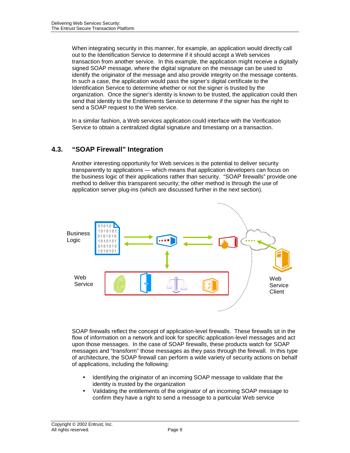When integrating security in this manner, for example, an application would directly call out to the Identification Service to determine if it should accept a Web services transaction from another service. In this example, the application might receive a digitally signed SOAP message, where the digital signature on the message can be used to identify the originator of the message and also provide integrity on the message contents. In such a case, the application would pass the signer's digital certificate to the Identification Service to determine whether or not the signer is trusted by the organization. Once the signer's identity is known to be trusted, the application could then send that identity to the Entitlements Service to determine if the signer has the right to send a SOAP request to the Web service.

In a similar fashion, a Web services application could interface with the Verification Service to obtain a centralized digital signature and timestamp on a transaction.

#### **4.3. "SOAP Firewall" Integration**

Another interesting opportunity for Web services is the potential to deliver security transparently to applications — which means that application developers can focus on the business logic of their applications rather than security. "SOAP firewalls" provide one method to deliver this transparent security; the other method is through the use of application server plug-ins (which are discussed further in the next section).



SOAP firewalls reflect the concept of application-level firewalls. These firewalls sit in the flow of information on a network and look for specific application-level messages and act upon those messages. In the case of SOAP firewalls, these products watch for SOAP messages and "transform" those messages as they pass through the firewall. In this type of architecture, the SOAP firewall can perform a wide variety of security actions on behalf of applications, including the following:

- Identifying the originator of an incoming SOAP message to validate that the identity is trusted by the organization
- Validating the entitlements of the originator of an incoming SOAP message to confirm they have a right to send a message to a particular Web service